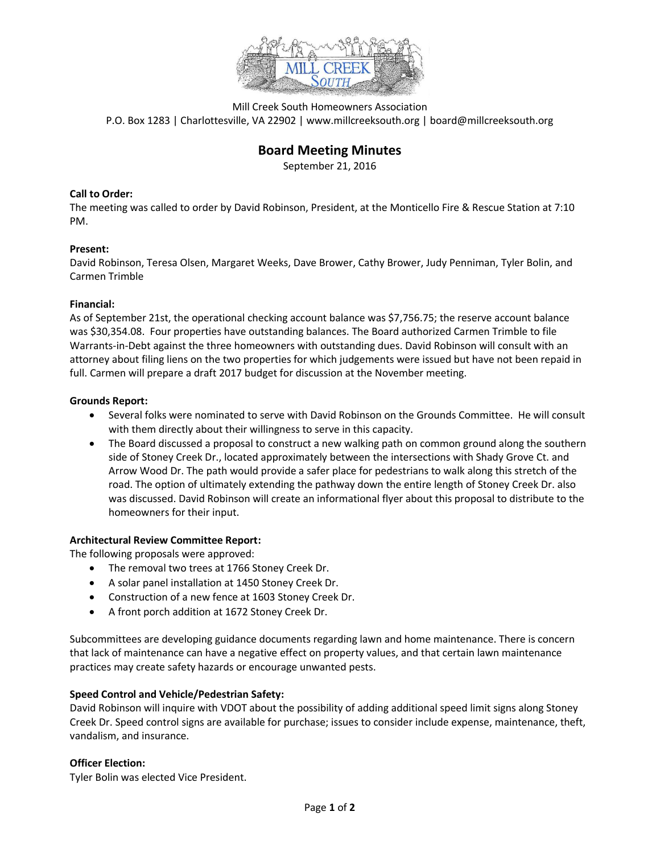

Mill Creek South Homeowners Association P.O. Box 1283 | Charlottesville, VA 22902 | www.millcreeksouth.org | board@millcreeksouth.org

# **Board Meeting Minutes**

September 21, 2016

# **Call to Order:**

The meeting was called to order by David Robinson, President, at the Monticello Fire & Rescue Station at 7:10 PM.

# **Present:**

David Robinson, Teresa Olsen, Margaret Weeks, Dave Brower, Cathy Brower, Judy Penniman, Tyler Bolin, and Carmen Trimble

# **Financial:**

As of September 21st, the operational checking account balance was \$7,756.75; the reserve account balance was \$30,354.08. Four properties have outstanding balances. The Board authorized Carmen Trimble to file Warrants-in-Debt against the three homeowners with outstanding dues. David Robinson will consult with an attorney about filing liens on the two properties for which judgements were issued but have not been repaid in full. Carmen will prepare a draft 2017 budget for discussion at the November meeting.

# **Grounds Report:**

- Several folks were nominated to serve with David Robinson on the Grounds Committee. He will consult with them directly about their willingness to serve in this capacity.
- The Board discussed a proposal to construct a new walking path on common ground along the southern side of Stoney Creek Dr., located approximately between the intersections with Shady Grove Ct. and Arrow Wood Dr. The path would provide a safer place for pedestrians to walk along this stretch of the road. The option of ultimately extending the pathway down the entire length of Stoney Creek Dr. also was discussed. David Robinson will create an informational flyer about this proposal to distribute to the homeowners for their input.

# **Architectural Review Committee Report:**

The following proposals were approved:

- The removal two trees at 1766 Stoney Creek Dr.
- A solar panel installation at 1450 Stoney Creek Dr.
- Construction of a new fence at 1603 Stoney Creek Dr.
- A front porch addition at 1672 Stoney Creek Dr.

Subcommittees are developing guidance documents regarding lawn and home maintenance. There is concern that lack of maintenance can have a negative effect on property values, and that certain lawn maintenance practices may create safety hazards or encourage unwanted pests.

#### **Speed Control and Vehicle/Pedestrian Safety:**

David Robinson will inquire with VDOT about the possibility of adding additional speed limit signs along Stoney Creek Dr. Speed control signs are available for purchase; issues to consider include expense, maintenance, theft, vandalism, and insurance.

#### **Officer Election:**

Tyler Bolin was elected Vice President.